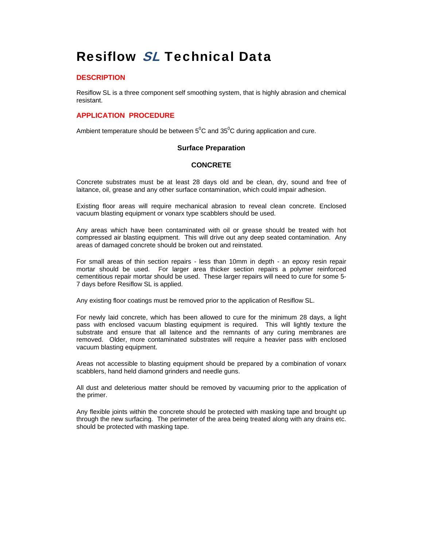# Resiflow SL Technical Data

# **DESCRIPTION**

Resiflow SL is a three component self smoothing system, that is highly abrasion and chemical resistant.

# **APPLICATION PROCEDURE**

Ambient temperature should be between  $5^0C$  and  $35^0C$  during application and cure.

## **Surface Preparation**

## **CONCRETE**

Concrete substrates must be at least 28 days old and be clean, dry, sound and free of laitance, oil, grease and any other surface contamination, which could impair adhesion.

Existing floor areas will require mechanical abrasion to reveal clean concrete. Enclosed vacuum blasting equipment or vonarx type scabblers should be used.

Any areas which have been contaminated with oil or grease should be treated with hot compressed air blasting equipment. This will drive out any deep seated contamination. Any areas of damaged concrete should be broken out and reinstated.

For small areas of thin section repairs - less than 10mm in depth - an epoxy resin repair mortar should be used. For larger area thicker section repairs a polymer reinforced cementitious repair mortar should be used. These larger repairs will need to cure for some 5- 7 days before Resiflow SL is applied.

Any existing floor coatings must be removed prior to the application of Resiflow SL.

For newly laid concrete, which has been allowed to cure for the minimum 28 days, a light pass with enclosed vacuum blasting equipment is required. This will lightly texture the substrate and ensure that all laitence and the remnants of any curing membranes are removed. Older, more contaminated substrates will require a heavier pass with enclosed vacuum blasting equipment.

Areas not accessible to blasting equipment should be prepared by a combination of vonarx scabblers, hand held diamond grinders and needle guns.

All dust and deleterious matter should be removed by vacuuming prior to the application of the primer.

Any flexible joints within the concrete should be protected with masking tape and brought up through the new surfacing. The perimeter of the area being treated along with any drains etc. should be protected with masking tape.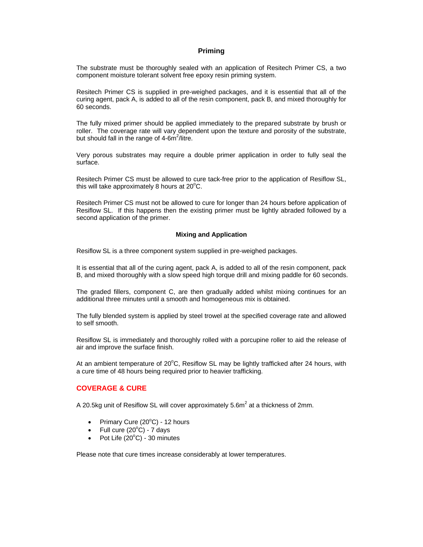#### **Priming**

The substrate must be thoroughly sealed with an application of Resitech Primer CS, a two component moisture tolerant solvent free epoxy resin priming system.

Resitech Primer CS is supplied in pre-weighed packages, and it is essential that all of the curing agent, pack A, is added to all of the resin component, pack B, and mixed thoroughly for 60 seconds.

The fully mixed primer should be applied immediately to the prepared substrate by brush or roller. The coverage rate will vary dependent upon the texture and porosity of the substrate, but should fall in the range of  $4\text{-}6m^2$ /litre.

Very porous substrates may require a double primer application in order to fully seal the surface.

Resitech Primer CS must be allowed to cure tack-free prior to the application of Resiflow SL, this will take approximately 8 hours at  $20^{\circ}$ C.

Resitech Primer CS must not be allowed to cure for longer than 24 hours before application of Resiflow SL. If this happens then the existing primer must be lightly abraded followed by a second application of the primer.

#### **Mixing and Application**

Resiflow SL is a three component system supplied in pre-weighed packages.

It is essential that all of the curing agent, pack A, is added to all of the resin component, pack B, and mixed thoroughly with a slow speed high torque drill and mixing paddle for 60 seconds.

The graded fillers, component C, are then gradually added whilst mixing continues for an additional three minutes until a smooth and homogeneous mix is obtained.

The fully blended system is applied by steel trowel at the specified coverage rate and allowed to self smooth.

Resiflow SL is immediately and thoroughly rolled with a porcupine roller to aid the release of air and improve the surface finish.

At an ambient temperature of 20°C, Resiflow SL may be lightly trafficked after 24 hours, with a cure time of 48 hours being required prior to heavier trafficking.

## **COVERAGE & CURE**

A 20.5kg unit of Resiflow SL will cover approximately 5.6m<sup>2</sup> at a thickness of 2mm.

- Primary Cure  $(20^{\circ}$ C) 12 hours
- Full cure  $(20^{\circ}C)$  7 days
- Pot Life  $(20^{\circ}C)$  30 minutes

Please note that cure times increase considerably at lower temperatures.